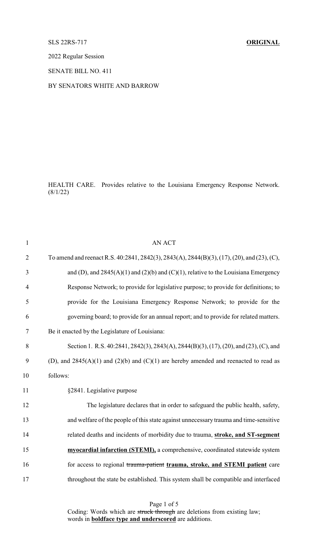## SLS 22RS-717 **ORIGINAL**

2022 Regular Session

SENATE BILL NO. 411

## BY SENATORS WHITE AND BARROW

HEALTH CARE. Provides relative to the Louisiana Emergency Response Network.  $(8/1/22)$ 

| $\mathbf{1}$   | <b>AN ACT</b>                                                                               |
|----------------|---------------------------------------------------------------------------------------------|
| $\overline{2}$ | To amend and reenact R.S. 40:2841, 2842(3), 2843(A), 2844(B)(3), (17), (20), and (23), (C), |
| 3              | and (D), and $2845(A)(1)$ and $(2)(b)$ and $(C)(1)$ , relative to the Louisiana Emergency   |
| $\overline{4}$ | Response Network; to provide for legislative purpose; to provide for definitions; to        |
| 5              | provide for the Louisiana Emergency Response Network; to provide for the                    |
| 6              | governing board; to provide for an annual report; and to provide for related matters.       |
| $\tau$         | Be it enacted by the Legislature of Louisiana:                                              |
| 8              | Section 1. R.S. 40:2841, 2842(3), 2843(A), 2844(B)(3), (17), (20), and (23), (C), and       |
| 9              | (D), and $2845(A)(1)$ and $(2)(b)$ and $(C)(1)$ are hereby amended and reenacted to read as |
| 10             | follows:                                                                                    |
| 11             | §2841. Legislative purpose                                                                  |
| 12             | The legislature declares that in order to safeguard the public health, safety,              |
| 13             | and welfare of the people of this state against unnecessary trauma and time-sensitive       |
| 14             | related deaths and incidents of morbidity due to trauma, stroke, and ST-segment             |
| 15             | myocardial infarction (STEMI), a comprehensive, coordinated statewide system                |
| 16             | for access to regional trauma-patient trauma, stroke, and STEMI patient care                |
| 17             | throughout the state be established. This system shall be compatible and interfaced         |
|                |                                                                                             |

Page 1 of 5 Coding: Words which are struck through are deletions from existing law; words in **boldface type and underscored** are additions.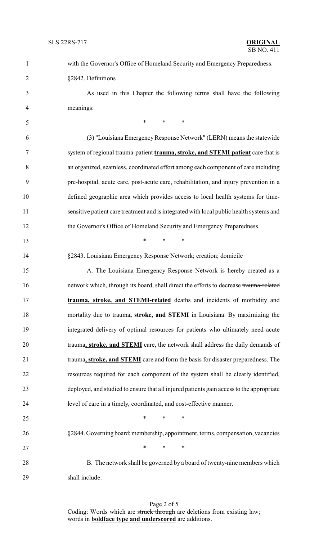| $\mathbf{1}$   | with the Governor's Office of Homeland Security and Emergency Preparedness.              |
|----------------|------------------------------------------------------------------------------------------|
| $\overline{2}$ | §2842. Definitions                                                                       |
| 3              | As used in this Chapter the following terms shall have the following                     |
| $\overline{4}$ | meanings:                                                                                |
| 5              | $\ast$<br>$\ast$<br>$\ast$                                                               |
| 6              | (3) "Louisiana Emergency Response Network" (LERN) means the statewide                    |
| 7              | system of regional trauma-patient trauma, stroke, and STEMI patient care that is         |
| 8              | an organized, seamless, coordinated effort among each component of care including        |
| 9              | pre-hospital, acute care, post-acute care, rehabilitation, and injury prevention in a    |
| 10             | defined geographic area which provides access to local health systems for time-          |
| 11             | sensitive patient care treatment and is integrated with local public health systems and  |
| 12             | the Governor's Office of Homeland Security and Emergency Preparedness.                   |
| 13             | $\ast$<br>$\ast$<br>$\ast$                                                               |
| 14             | §2843. Louisiana Emergency Response Network; creation; domicile                          |
| 15             | A. The Louisiana Emergency Response Network is hereby created as a                       |
| 16             | network which, through its board, shall direct the efforts to decrease trauma-related    |
| 17             | trauma, stroke, and STEMI-related deaths and incidents of morbidity and                  |
| 18             | mortality due to trauma, stroke, and STEMI in Louisiana. By maximizing the               |
| 19             | integrated delivery of optimal resources for patients who ultimately need acute          |
| 20             | trauma, stroke, and STEMI care, the network shall address the daily demands of           |
| 21             | trauma, stroke, and STEMI care and form the basis for disaster preparedness. The         |
| 22             | resources required for each component of the system shall be clearly identified,         |
| 23             | deployed, and studied to ensure that all injured patients gain access to the appropriate |
| 24             | level of care in a timely, coordinated, and cost-effective manner.                       |
| 25             | $\ast$<br>$\ast$<br>$\ast$                                                               |
| 26             | §2844. Governing board; membership, appointment, terms, compensation, vacancies          |
| 27             | $\ast$<br>$\ast$<br>$\ast$                                                               |
| 28             | B. The network shall be governed by a board of twenty-nine members which                 |
| 29             | shall include:                                                                           |

Page 2 of 5 Coding: Words which are struck through are deletions from existing law; words in **boldface type and underscored** are additions.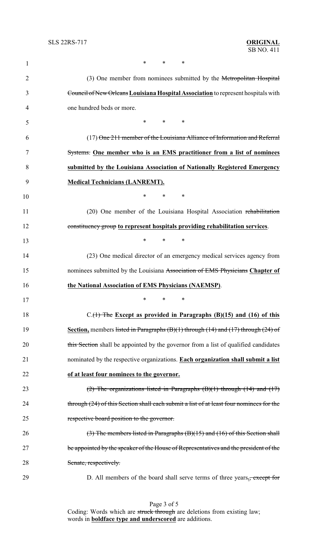| $\mathbf{1}$   | *<br>∗<br>∗                                                                                        |
|----------------|----------------------------------------------------------------------------------------------------|
| $\overline{2}$ | (3) One member from nominees submitted by the Metropolitan Hospital                                |
| 3              | Council of New Orleans Louisiana Hospital Association to represent hospitals with                  |
| 4              | one hundred beds or more.                                                                          |
| 5              | $*$ $*$<br>$\ast$<br>∗                                                                             |
| 6              | (17) One 211 member of the Louisiana Alliance of Information and Referral                          |
| 7              | Systems. One member who is an EMS practitioner from a list of nominees                             |
| 8              | submitted by the Louisiana Association of Nationally Registered Emergency                          |
| 9              | <b>Medical Technicians (LANREMT).</b>                                                              |
| 10             | *<br>$\ast$<br>∗                                                                                   |
| 11             | (20) One member of the Louisiana Hospital Association rehabilitation                               |
| 12             | constituency group to represent hospitals providing rehabilitation services.                       |
| 13             | *<br>*<br>$\ast$                                                                                   |
| 14             | (23) One medical director of an emergency medical services agency from                             |
| 15             | nominees submitted by the Louisiana Association of EMS Physicians Chapter of                       |
| 16             | the National Association of EMS Physicians (NAEMSP).                                               |
| 17             | $\sim$                                                                                             |
| 18             | $C_{\cdot}(1)$ The Except as provided in Paragraphs (B)(15) and (16) of this                       |
| 19             | <b>Section</b> , members listed in Paragraphs $(B)(1)$ through $(14)$ and $(17)$ through $(24)$ of |
| 20             | this Section shall be appointed by the governor from a list of qualified candidates                |
| 21             | nominated by the respective organizations. Each organization shall submit a list                   |
| 22             | of at least four nominees to the governor.                                                         |
| 23             | $(2)$ The organizations listed in Paragraphs $(B)(1)$ through $(14)$ and $(17)$                    |
| 24             | through (24) of this Section shall each submit a list of at least four nominees for the            |
| 25             | respective board position to the governor.                                                         |
| 26             | $(3)$ The members listed in Paragraphs $(B)(15)$ and $(16)$ of this Section shall                  |
| 27             | be appointed by the speaker of the House of Representatives and the president of the               |
| 28             | Senate, respectively.                                                                              |
| 29             | D. All members of the board shall serve terms of three years., except for                          |

Page 3 of 5 Coding: Words which are struck through are deletions from existing law; words in **boldface type and underscored** are additions.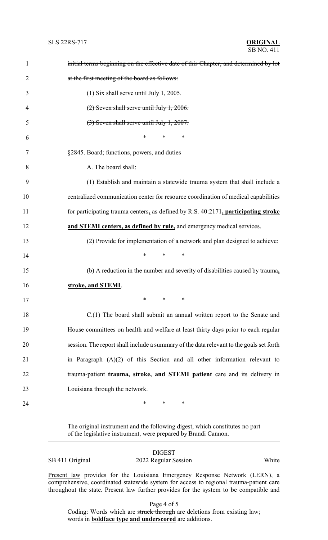| $\mathbf{1}$   | initial terms beginning on the effective date of this Chapter, and determined by lot    |
|----------------|-----------------------------------------------------------------------------------------|
| $\overline{2}$ | at the first meeting of the board as follows:                                           |
| 3              | $(1)$ Six shall serve until July 1, 2005.                                               |
| 4              | $(2)$ Seven shall serve until July 1, 2006.                                             |
| 5              | $(3)$ Seven shall serve until July 1, 2007.                                             |
| 6              | $\ast$<br>$\ast$<br>∗                                                                   |
| 7              | §2845. Board; functions, powers, and duties                                             |
| 8              | A. The board shall:                                                                     |
| 9              | (1) Establish and maintain a statewide trauma system that shall include a               |
| 10             | centralized communication center for resource coordination of medical capabilities      |
| 11             | for participating trauma centers, as defined by R.S. $40:2171$ , participating stroke   |
| 12             | and STEMI centers, as defined by rule, and emergency medical services.                  |
| 13             | (2) Provide for implementation of a network and plan designed to achieve:               |
| 14             | $\ast$<br>∗<br>∗                                                                        |
| 15             | (b) A reduction in the number and severity of disabilities caused by trauma,            |
| 16             | stroke, and STEMI.                                                                      |
| 17             | $\ast$ $\cdots$<br>$\ast$ . The set of $\ast$<br>∗                                      |
| 18             | C.(1) The board shall submit an annual written report to the Senate and                 |
| 19             | House committees on health and welfare at least thirty days prior to each regular       |
| 20             | session. The report shall include a summary of the data relevant to the goals set forth |
| 21             | in Paragraph $(A)(2)$ of this Section and all other information relevant to             |
| 22             | trauma-patient trauma, stroke, and STEMI patient care and its delivery in               |
| 23             | Louisiana through the network.                                                          |
| 24             | ∗<br>$\ast$<br>∗                                                                        |

The original instrument and the following digest, which constitutes no part of the legislative instrument, were prepared by Brandi Cannon.

SB 411 Original 2022 Regular Session White

DIGEST

Present law provides for the Louisiana Emergency Response Network (LERN), a comprehensive, coordinated statewide system for access to regional trauma-patient care throughout the state. Present law further provides for the system to be compatible and

Page 4 of 5

Coding: Words which are struck through are deletions from existing law; words in **boldface type and underscored** are additions.